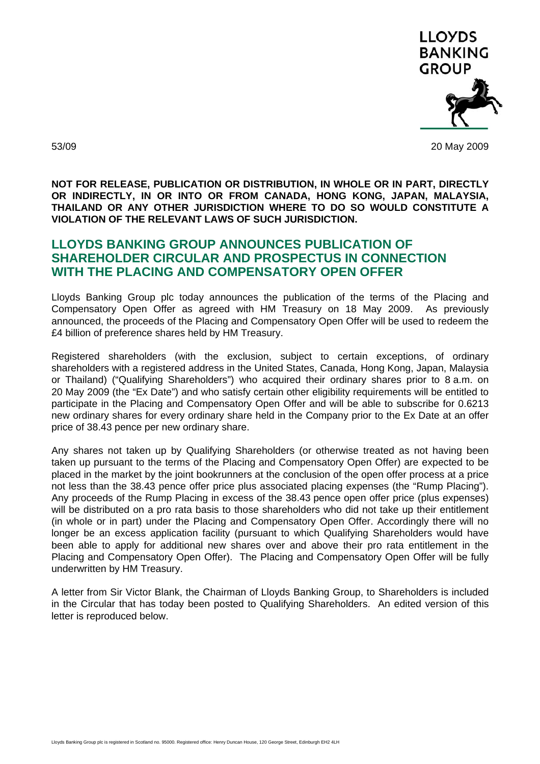

53/09 20 May 2009

**NOT FOR RELEASE, PUBLICATION OR DISTRIBUTION, IN WHOLE OR IN PART, DIRECTLY OR INDIRECTLY, IN OR INTO OR FROM CANADA, HONG KONG, JAPAN, MALAYSIA, THAILAND OR ANY OTHER JURISDICTION WHERE TO DO SO WOULD CONSTITUTE A VIOLATION OF THE RELEVANT LAWS OF SUCH JURISDICTION.** 

# **LLOYDS BANKING GROUP ANNOUNCES PUBLICATION OF SHAREHOLDER CIRCULAR AND PROSPECTUS IN CONNECTION WITH THE PLACING AND COMPENSATORY OPEN OFFER**

Lloyds Banking Group plc today announces the publication of the terms of the Placing and Compensatory Open Offer as agreed with HM Treasury on 18 May 2009. As previously announced, the proceeds of the Placing and Compensatory Open Offer will be used to redeem the £4 billion of preference shares held by HM Treasury.

Registered shareholders (with the exclusion, subject to certain exceptions, of ordinary shareholders with a registered address in the United States, Canada, Hong Kong, Japan, Malaysia or Thailand) ("Qualifying Shareholders") who acquired their ordinary shares prior to 8 a.m. on 20 May 2009 (the "Ex Date") and who satisfy certain other eligibility requirements will be entitled to participate in the Placing and Compensatory Open Offer and will be able to subscribe for 0.6213 new ordinary shares for every ordinary share held in the Company prior to the Ex Date at an offer price of 38.43 pence per new ordinary share.

Any shares not taken up by Qualifying Shareholders (or otherwise treated as not having been taken up pursuant to the terms of the Placing and Compensatory Open Offer) are expected to be placed in the market by the joint bookrunners at the conclusion of the open offer process at a price not less than the 38.43 pence offer price plus associated placing expenses (the "Rump Placing"). Any proceeds of the Rump Placing in excess of the 38.43 pence open offer price (plus expenses) will be distributed on a pro rata basis to those shareholders who did not take up their entitlement (in whole or in part) under the Placing and Compensatory Open Offer. Accordingly there will no longer be an excess application facility (pursuant to which Qualifying Shareholders would have been able to apply for additional new shares over and above their pro rata entitlement in the Placing and Compensatory Open Offer). The Placing and Compensatory Open Offer will be fully underwritten by HM Treasury.

A letter from Sir Victor Blank, the Chairman of Lloyds Banking Group, to Shareholders is included in the Circular that has today been posted to Qualifying Shareholders. An edited version of this letter is reproduced below.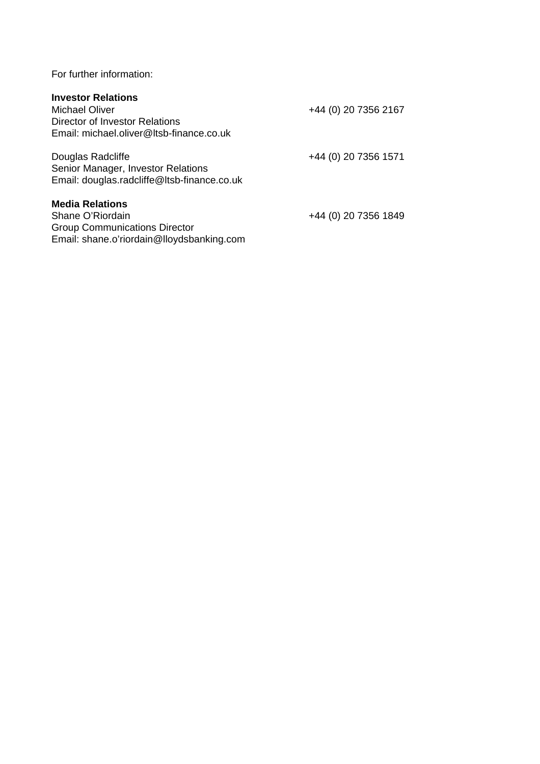For further information:

# **Investor Relations**

| <b>Michael Oliver</b><br>Director of Investor Relations<br>Email: michael.oliver@ltsb-finance.co.uk                             | +44 (0) 20 7356 2167 |
|---------------------------------------------------------------------------------------------------------------------------------|----------------------|
| Douglas Radcliffe<br>Senior Manager, Investor Relations<br>Email: douglas.radcliffe@ltsb-finance.co.uk                          | +44 (0) 20 7356 1571 |
| <b>Media Relations</b><br>Shane O'Riordain<br><b>Group Communications Director</b><br>Email: shane.o'riordain@lloydsbanking.com | +44 (0) 20 7356 1849 |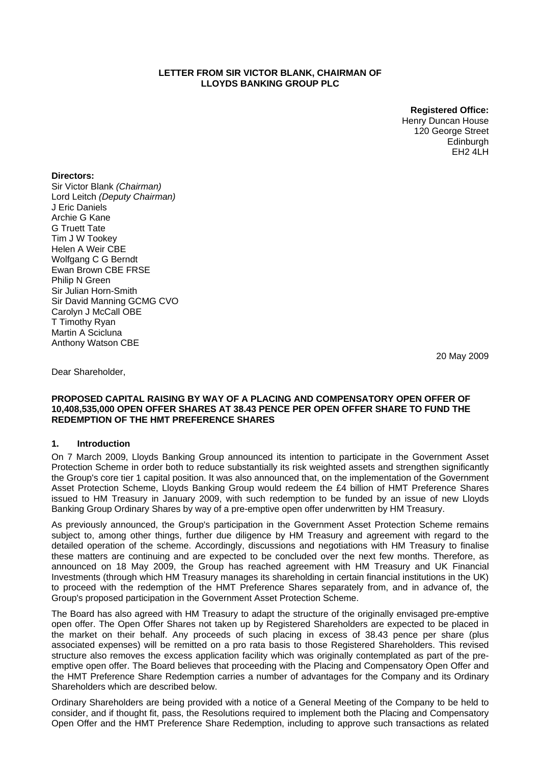#### **LETTER FROM SIR VICTOR BLANK, CHAIRMAN OF LLOYDS BANKING GROUP PLC**

**Registered Office:**  Henry Duncan House 120 George Street Edinburgh EH2 4LH

#### **Directors:**

Sir Victor Blank *(Chairman)*  Lord Leitch *(Deputy Chairman)*  J Eric Daniels Archie G Kane G Truett Tate Tim J W Tookey Helen A Weir CBE Wolfgang C G Berndt Ewan Brown CBE FRSE Philip N Green Sir Julian Horn-Smith Sir David Manning GCMG CVO Carolyn J McCall OBE T Timothy Ryan Martin A Scicluna Anthony Watson CBE

20 May 2009

Dear Shareholder,

#### **PROPOSED CAPITAL RAISING BY WAY OF A PLACING AND COMPENSATORY OPEN OFFER OF 10,408,535,000 OPEN OFFER SHARES AT 38.43 PENCE PER OPEN OFFER SHARE TO FUND THE REDEMPTION OF THE HMT PREFERENCE SHARES**

#### **1. Introduction**

On 7 March 2009, Lloyds Banking Group announced its intention to participate in the Government Asset Protection Scheme in order both to reduce substantially its risk weighted assets and strengthen significantly the Group's core tier 1 capital position. It was also announced that, on the implementation of the Government Asset Protection Scheme, Lloyds Banking Group would redeem the £4 billion of HMT Preference Shares issued to HM Treasury in January 2009, with such redemption to be funded by an issue of new Lloyds Banking Group Ordinary Shares by way of a pre-emptive open offer underwritten by HM Treasury.

As previously announced, the Group's participation in the Government Asset Protection Scheme remains subject to, among other things, further due diligence by HM Treasury and agreement with regard to the detailed operation of the scheme. Accordingly, discussions and negotiations with HM Treasury to finalise these matters are continuing and are expected to be concluded over the next few months. Therefore, as announced on 18 May 2009, the Group has reached agreement with HM Treasury and UK Financial Investments (through which HM Treasury manages its shareholding in certain financial institutions in the UK) to proceed with the redemption of the HMT Preference Shares separately from, and in advance of, the Group's proposed participation in the Government Asset Protection Scheme.

The Board has also agreed with HM Treasury to adapt the structure of the originally envisaged pre-emptive open offer. The Open Offer Shares not taken up by Registered Shareholders are expected to be placed in the market on their behalf. Any proceeds of such placing in excess of 38.43 pence per share (plus associated expenses) will be remitted on a pro rata basis to those Registered Shareholders. This revised structure also removes the excess application facility which was originally contemplated as part of the preemptive open offer. The Board believes that proceeding with the Placing and Compensatory Open Offer and the HMT Preference Share Redemption carries a number of advantages for the Company and its Ordinary Shareholders which are described below.

Ordinary Shareholders are being provided with a notice of a General Meeting of the Company to be held to consider, and if thought fit, pass, the Resolutions required to implement both the Placing and Compensatory Open Offer and the HMT Preference Share Redemption, including to approve such transactions as related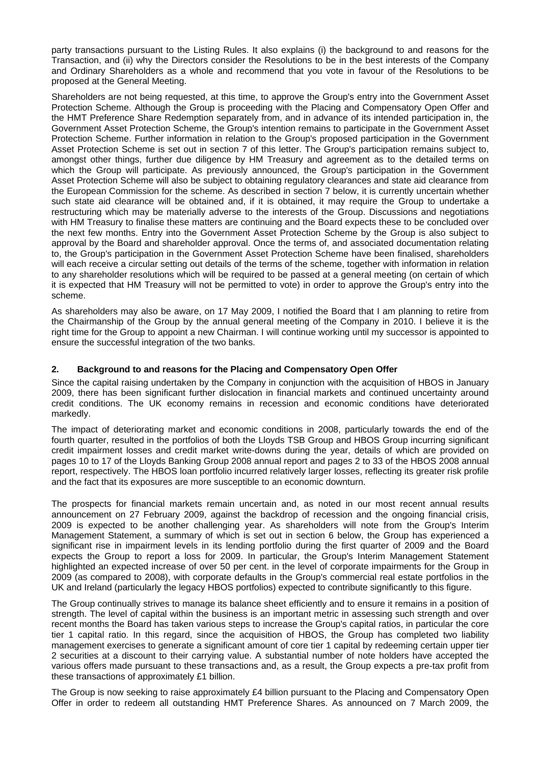party transactions pursuant to the Listing Rules. It also explains (i) the background to and reasons for the Transaction, and (ii) why the Directors consider the Resolutions to be in the best interests of the Company and Ordinary Shareholders as a whole and recommend that you vote in favour of the Resolutions to be proposed at the General Meeting.

Shareholders are not being requested, at this time, to approve the Group's entry into the Government Asset Protection Scheme. Although the Group is proceeding with the Placing and Compensatory Open Offer and the HMT Preference Share Redemption separately from, and in advance of its intended participation in, the Government Asset Protection Scheme, the Group's intention remains to participate in the Government Asset Protection Scheme. Further information in relation to the Group's proposed participation in the Government Asset Protection Scheme is set out in section 7 of this letter. The Group's participation remains subject to, amongst other things, further due diligence by HM Treasury and agreement as to the detailed terms on which the Group will participate. As previously announced, the Group's participation in the Government Asset Protection Scheme will also be subject to obtaining regulatory clearances and state aid clearance from the European Commission for the scheme. As described in section 7 below, it is currently uncertain whether such state aid clearance will be obtained and, if it is obtained, it may require the Group to undertake a restructuring which may be materially adverse to the interests of the Group. Discussions and negotiations with HM Treasury to finalise these matters are continuing and the Board expects these to be concluded over the next few months. Entry into the Government Asset Protection Scheme by the Group is also subject to approval by the Board and shareholder approval. Once the terms of, and associated documentation relating to, the Group's participation in the Government Asset Protection Scheme have been finalised, shareholders will each receive a circular setting out details of the terms of the scheme, together with information in relation to any shareholder resolutions which will be required to be passed at a general meeting (on certain of which it is expected that HM Treasury will not be permitted to vote) in order to approve the Group's entry into the scheme.

As shareholders may also be aware, on 17 May 2009, I notified the Board that I am planning to retire from the Chairmanship of the Group by the annual general meeting of the Company in 2010. I believe it is the right time for the Group to appoint a new Chairman. I will continue working until my successor is appointed to ensure the successful integration of the two banks.

# **2. Background to and reasons for the Placing and Compensatory Open Offer**

Since the capital raising undertaken by the Company in conjunction with the acquisition of HBOS in January 2009, there has been significant further dislocation in financial markets and continued uncertainty around credit conditions. The UK economy remains in recession and economic conditions have deteriorated markedly.

The impact of deteriorating market and economic conditions in 2008, particularly towards the end of the fourth quarter, resulted in the portfolios of both the Lloyds TSB Group and HBOS Group incurring significant credit impairment losses and credit market write-downs during the year, details of which are provided on pages 10 to 17 of the Lloyds Banking Group 2008 annual report and pages 2 to 33 of the HBOS 2008 annual report, respectively. The HBOS loan portfolio incurred relatively larger losses, reflecting its greater risk profile and the fact that its exposures are more susceptible to an economic downturn.

The prospects for financial markets remain uncertain and, as noted in our most recent annual results announcement on 27 February 2009, against the backdrop of recession and the ongoing financial crisis, 2009 is expected to be another challenging year. As shareholders will note from the Group's Interim Management Statement, a summary of which is set out in section 6 below, the Group has experienced a significant rise in impairment levels in its lending portfolio during the first quarter of 2009 and the Board expects the Group to report a loss for 2009. In particular, the Group's Interim Management Statement highlighted an expected increase of over 50 per cent. in the level of corporate impairments for the Group in 2009 (as compared to 2008), with corporate defaults in the Group's commercial real estate portfolios in the UK and Ireland (particularly the legacy HBOS portfolios) expected to contribute significantly to this figure.

The Group continually strives to manage its balance sheet efficiently and to ensure it remains in a position of strength. The level of capital within the business is an important metric in assessing such strength and over recent months the Board has taken various steps to increase the Group's capital ratios, in particular the core tier 1 capital ratio. In this regard, since the acquisition of HBOS, the Group has completed two liability management exercises to generate a significant amount of core tier 1 capital by redeeming certain upper tier 2 securities at a discount to their carrying value. A substantial number of note holders have accepted the various offers made pursuant to these transactions and, as a result, the Group expects a pre-tax profit from these transactions of approximately £1 billion.

The Group is now seeking to raise approximately £4 billion pursuant to the Placing and Compensatory Open Offer in order to redeem all outstanding HMT Preference Shares. As announced on 7 March 2009, the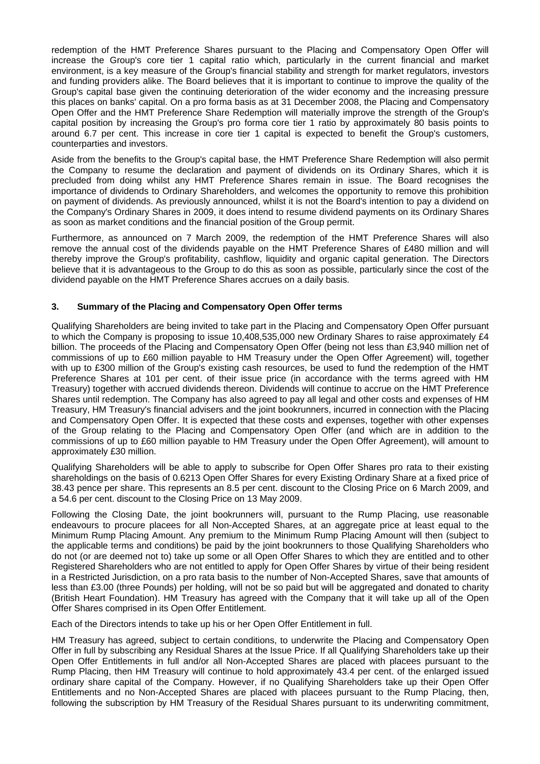redemption of the HMT Preference Shares pursuant to the Placing and Compensatory Open Offer will increase the Group's core tier 1 capital ratio which, particularly in the current financial and market environment, is a key measure of the Group's financial stability and strength for market regulators, investors and funding providers alike. The Board believes that it is important to continue to improve the quality of the Group's capital base given the continuing deterioration of the wider economy and the increasing pressure this places on banks' capital. On a pro forma basis as at 31 December 2008, the Placing and Compensatory Open Offer and the HMT Preference Share Redemption will materially improve the strength of the Group's capital position by increasing the Group's pro forma core tier 1 ratio by approximately 80 basis points to around 6.7 per cent. This increase in core tier 1 capital is expected to benefit the Group's customers, counterparties and investors.

Aside from the benefits to the Group's capital base, the HMT Preference Share Redemption will also permit the Company to resume the declaration and payment of dividends on its Ordinary Shares, which it is precluded from doing whilst any HMT Preference Shares remain in issue. The Board recognises the importance of dividends to Ordinary Shareholders, and welcomes the opportunity to remove this prohibition on payment of dividends. As previously announced, whilst it is not the Board's intention to pay a dividend on the Company's Ordinary Shares in 2009, it does intend to resume dividend payments on its Ordinary Shares as soon as market conditions and the financial position of the Group permit.

Furthermore, as announced on 7 March 2009, the redemption of the HMT Preference Shares will also remove the annual cost of the dividends payable on the HMT Preference Shares of £480 million and will thereby improve the Group's profitability, cashflow, liquidity and organic capital generation. The Directors believe that it is advantageous to the Group to do this as soon as possible, particularly since the cost of the dividend payable on the HMT Preference Shares accrues on a daily basis.

#### **3. Summary of the Placing and Compensatory Open Offer terms**

Qualifying Shareholders are being invited to take part in the Placing and Compensatory Open Offer pursuant to which the Company is proposing to issue 10,408,535,000 new Ordinary Shares to raise approximately £4 billion. The proceeds of the Placing and Compensatory Open Offer (being not less than £3,940 million net of commissions of up to £60 million payable to HM Treasury under the Open Offer Agreement) will, together with up to £300 million of the Group's existing cash resources, be used to fund the redemption of the HMT Preference Shares at 101 per cent. of their issue price (in accordance with the terms agreed with HM Treasury) together with accrued dividends thereon. Dividends will continue to accrue on the HMT Preference Shares until redemption. The Company has also agreed to pay all legal and other costs and expenses of HM Treasury, HM Treasury's financial advisers and the joint bookrunners, incurred in connection with the Placing and Compensatory Open Offer. It is expected that these costs and expenses, together with other expenses of the Group relating to the Placing and Compensatory Open Offer (and which are in addition to the commissions of up to £60 million payable to HM Treasury under the Open Offer Agreement), will amount to approximately £30 million.

Qualifying Shareholders will be able to apply to subscribe for Open Offer Shares pro rata to their existing shareholdings on the basis of 0.6213 Open Offer Shares for every Existing Ordinary Share at a fixed price of 38.43 pence per share. This represents an 8.5 per cent. discount to the Closing Price on 6 March 2009, and a 54.6 per cent. discount to the Closing Price on 13 May 2009.

Following the Closing Date, the joint bookrunners will, pursuant to the Rump Placing, use reasonable endeavours to procure placees for all Non-Accepted Shares, at an aggregate price at least equal to the Minimum Rump Placing Amount. Any premium to the Minimum Rump Placing Amount will then (subject to the applicable terms and conditions) be paid by the joint bookrunners to those Qualifying Shareholders who do not (or are deemed not to) take up some or all Open Offer Shares to which they are entitled and to other Registered Shareholders who are not entitled to apply for Open Offer Shares by virtue of their being resident in a Restricted Jurisdiction, on a pro rata basis to the number of Non-Accepted Shares, save that amounts of less than £3.00 (three Pounds) per holding, will not be so paid but will be aggregated and donated to charity (British Heart Foundation). HM Treasury has agreed with the Company that it will take up all of the Open Offer Shares comprised in its Open Offer Entitlement.

Each of the Directors intends to take up his or her Open Offer Entitlement in full.

HM Treasury has agreed, subject to certain conditions, to underwrite the Placing and Compensatory Open Offer in full by subscribing any Residual Shares at the Issue Price. If all Qualifying Shareholders take up their Open Offer Entitlements in full and/or all Non-Accepted Shares are placed with placees pursuant to the Rump Placing, then HM Treasury will continue to hold approximately 43.4 per cent. of the enlarged issued ordinary share capital of the Company. However, if no Qualifying Shareholders take up their Open Offer Entitlements and no Non-Accepted Shares are placed with placees pursuant to the Rump Placing, then, following the subscription by HM Treasury of the Residual Shares pursuant to its underwriting commitment,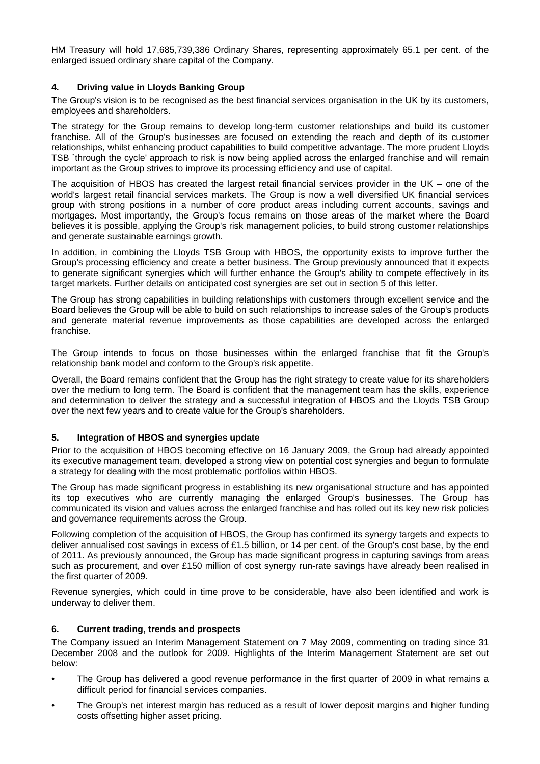HM Treasury will hold 17,685,739,386 Ordinary Shares, representing approximately 65.1 per cent. of the enlarged issued ordinary share capital of the Company.

#### **4. Driving value in Lloyds Banking Group**

The Group's vision is to be recognised as the best financial services organisation in the UK by its customers, employees and shareholders.

The strategy for the Group remains to develop long-term customer relationships and build its customer franchise. All of the Group's businesses are focused on extending the reach and depth of its customer relationships, whilst enhancing product capabilities to build competitive advantage. The more prudent Lloyds TSB `through the cycle' approach to risk is now being applied across the enlarged franchise and will remain important as the Group strives to improve its processing efficiency and use of capital.

The acquisition of HBOS has created the largest retail financial services provider in the UK – one of the world's largest retail financial services markets. The Group is now a well diversified UK financial services group with strong positions in a number of core product areas including current accounts, savings and mortgages. Most importantly, the Group's focus remains on those areas of the market where the Board believes it is possible, applying the Group's risk management policies, to build strong customer relationships and generate sustainable earnings growth.

In addition, in combining the Lloyds TSB Group with HBOS, the opportunity exists to improve further the Group's processing efficiency and create a better business. The Group previously announced that it expects to generate significant synergies which will further enhance the Group's ability to compete effectively in its target markets. Further details on anticipated cost synergies are set out in section 5 of this letter.

The Group has strong capabilities in building relationships with customers through excellent service and the Board believes the Group will be able to build on such relationships to increase sales of the Group's products and generate material revenue improvements as those capabilities are developed across the enlarged franchise.

The Group intends to focus on those businesses within the enlarged franchise that fit the Group's relationship bank model and conform to the Group's risk appetite.

Overall, the Board remains confident that the Group has the right strategy to create value for its shareholders over the medium to long term. The Board is confident that the management team has the skills, experience and determination to deliver the strategy and a successful integration of HBOS and the Lloyds TSB Group over the next few years and to create value for the Group's shareholders.

# **5. Integration of HBOS and synergies update**

Prior to the acquisition of HBOS becoming effective on 16 January 2009, the Group had already appointed its executive management team, developed a strong view on potential cost synergies and begun to formulate a strategy for dealing with the most problematic portfolios within HBOS.

The Group has made significant progress in establishing its new organisational structure and has appointed its top executives who are currently managing the enlarged Group's businesses. The Group has communicated its vision and values across the enlarged franchise and has rolled out its key new risk policies and governance requirements across the Group.

Following completion of the acquisition of HBOS, the Group has confirmed its synergy targets and expects to deliver annualised cost savings in excess of £1.5 billion, or 14 per cent. of the Group's cost base, by the end of 2011. As previously announced, the Group has made significant progress in capturing savings from areas such as procurement, and over £150 million of cost synergy run-rate savings have already been realised in the first quarter of 2009.

Revenue synergies, which could in time prove to be considerable, have also been identified and work is underway to deliver them.

# **6. Current trading, trends and prospects**

The Company issued an Interim Management Statement on 7 May 2009, commenting on trading since 31 December 2008 and the outlook for 2009. Highlights of the Interim Management Statement are set out below:

- The Group has delivered a good revenue performance in the first quarter of 2009 in what remains a difficult period for financial services companies.
- The Group's net interest margin has reduced as a result of lower deposit margins and higher funding costs offsetting higher asset pricing.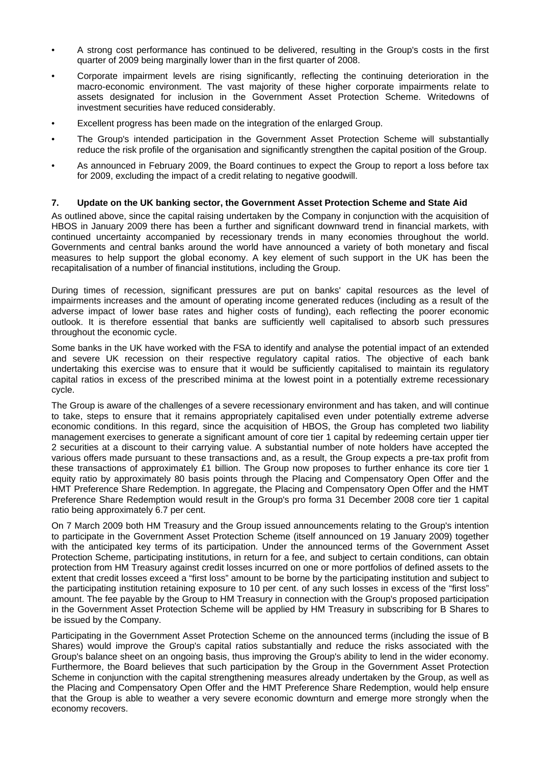- A strong cost performance has continued to be delivered, resulting in the Group's costs in the first quarter of 2009 being marginally lower than in the first quarter of 2008.
- Corporate impairment levels are rising significantly, reflecting the continuing deterioration in the macro-economic environment. The vast majority of these higher corporate impairments relate to assets designated for inclusion in the Government Asset Protection Scheme. Writedowns of investment securities have reduced considerably.
- Excellent progress has been made on the integration of the enlarged Group.
- The Group's intended participation in the Government Asset Protection Scheme will substantially reduce the risk profile of the organisation and significantly strengthen the capital position of the Group.
- As announced in February 2009, the Board continues to expect the Group to report a loss before tax for 2009, excluding the impact of a credit relating to negative goodwill.

#### **7. Update on the UK banking sector, the Government Asset Protection Scheme and State Aid**

As outlined above, since the capital raising undertaken by the Company in conjunction with the acquisition of HBOS in January 2009 there has been a further and significant downward trend in financial markets, with continued uncertainty accompanied by recessionary trends in many economies throughout the world. Governments and central banks around the world have announced a variety of both monetary and fiscal measures to help support the global economy. A key element of such support in the UK has been the recapitalisation of a number of financial institutions, including the Group.

During times of recession, significant pressures are put on banks' capital resources as the level of impairments increases and the amount of operating income generated reduces (including as a result of the adverse impact of lower base rates and higher costs of funding), each reflecting the poorer economic outlook. It is therefore essential that banks are sufficiently well capitalised to absorb such pressures throughout the economic cycle.

Some banks in the UK have worked with the FSA to identify and analyse the potential impact of an extended and severe UK recession on their respective regulatory capital ratios. The objective of each bank undertaking this exercise was to ensure that it would be sufficiently capitalised to maintain its regulatory capital ratios in excess of the prescribed minima at the lowest point in a potentially extreme recessionary cycle.

The Group is aware of the challenges of a severe recessionary environment and has taken, and will continue to take, steps to ensure that it remains appropriately capitalised even under potentially extreme adverse economic conditions. In this regard, since the acquisition of HBOS, the Group has completed two liability management exercises to generate a significant amount of core tier 1 capital by redeeming certain upper tier 2 securities at a discount to their carrying value. A substantial number of note holders have accepted the various offers made pursuant to these transactions and, as a result, the Group expects a pre-tax profit from these transactions of approximately £1 billion. The Group now proposes to further enhance its core tier 1 equity ratio by approximately 80 basis points through the Placing and Compensatory Open Offer and the HMT Preference Share Redemption. In aggregate, the Placing and Compensatory Open Offer and the HMT Preference Share Redemption would result in the Group's pro forma 31 December 2008 core tier 1 capital ratio being approximately 6.7 per cent.

On 7 March 2009 both HM Treasury and the Group issued announcements relating to the Group's intention to participate in the Government Asset Protection Scheme (itself announced on 19 January 2009) together with the anticipated key terms of its participation. Under the announced terms of the Government Asset Protection Scheme, participating institutions, in return for a fee, and subject to certain conditions, can obtain protection from HM Treasury against credit losses incurred on one or more portfolios of defined assets to the extent that credit losses exceed a "first loss" amount to be borne by the participating institution and subject to the participating institution retaining exposure to 10 per cent. of any such losses in excess of the "first loss" amount. The fee payable by the Group to HM Treasury in connection with the Group's proposed participation in the Government Asset Protection Scheme will be applied by HM Treasury in subscribing for B Shares to be issued by the Company.

Participating in the Government Asset Protection Scheme on the announced terms (including the issue of B Shares) would improve the Group's capital ratios substantially and reduce the risks associated with the Group's balance sheet on an ongoing basis, thus improving the Group's ability to lend in the wider economy. Furthermore, the Board believes that such participation by the Group in the Government Asset Protection Scheme in conjunction with the capital strengthening measures already undertaken by the Group, as well as the Placing and Compensatory Open Offer and the HMT Preference Share Redemption, would help ensure that the Group is able to weather a very severe economic downturn and emerge more strongly when the economy recovers.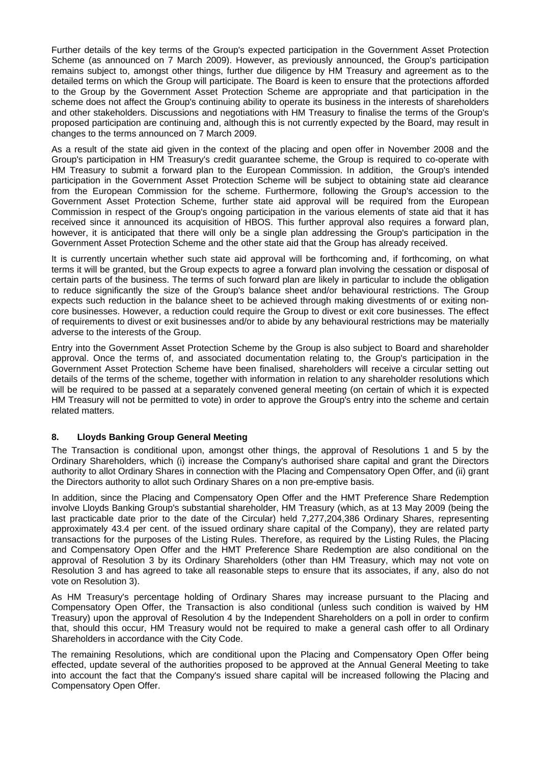Further details of the key terms of the Group's expected participation in the Government Asset Protection Scheme (as announced on 7 March 2009). However, as previously announced, the Group's participation remains subject to, amongst other things, further due diligence by HM Treasury and agreement as to the detailed terms on which the Group will participate. The Board is keen to ensure that the protections afforded to the Group by the Government Asset Protection Scheme are appropriate and that participation in the scheme does not affect the Group's continuing ability to operate its business in the interests of shareholders and other stakeholders. Discussions and negotiations with HM Treasury to finalise the terms of the Group's proposed participation are continuing and, although this is not currently expected by the Board, may result in changes to the terms announced on 7 March 2009.

As a result of the state aid given in the context of the placing and open offer in November 2008 and the Group's participation in HM Treasury's credit guarantee scheme, the Group is required to co-operate with HM Treasury to submit a forward plan to the European Commission. In addition, the Group's intended participation in the Government Asset Protection Scheme will be subject to obtaining state aid clearance from the European Commission for the scheme. Furthermore, following the Group's accession to the Government Asset Protection Scheme, further state aid approval will be required from the European Commission in respect of the Group's ongoing participation in the various elements of state aid that it has received since it announced its acquisition of HBOS. This further approval also requires a forward plan, however, it is anticipated that there will only be a single plan addressing the Group's participation in the Government Asset Protection Scheme and the other state aid that the Group has already received.

It is currently uncertain whether such state aid approval will be forthcoming and, if forthcoming, on what terms it will be granted, but the Group expects to agree a forward plan involving the cessation or disposal of certain parts of the business. The terms of such forward plan are likely in particular to include the obligation to reduce significantly the size of the Group's balance sheet and/or behavioural restrictions. The Group expects such reduction in the balance sheet to be achieved through making divestments of or exiting noncore businesses. However, a reduction could require the Group to divest or exit core businesses. The effect of requirements to divest or exit businesses and/or to abide by any behavioural restrictions may be materially adverse to the interests of the Group.

Entry into the Government Asset Protection Scheme by the Group is also subject to Board and shareholder approval. Once the terms of, and associated documentation relating to, the Group's participation in the Government Asset Protection Scheme have been finalised, shareholders will receive a circular setting out details of the terms of the scheme, together with information in relation to any shareholder resolutions which will be required to be passed at a separately convened general meeting (on certain of which it is expected HM Treasury will not be permitted to vote) in order to approve the Group's entry into the scheme and certain related matters.

# **8. Lloyds Banking Group General Meeting**

The Transaction is conditional upon, amongst other things, the approval of Resolutions 1 and 5 by the Ordinary Shareholders, which (i) increase the Company's authorised share capital and grant the Directors authority to allot Ordinary Shares in connection with the Placing and Compensatory Open Offer, and (ii) grant the Directors authority to allot such Ordinary Shares on a non pre-emptive basis.

In addition, since the Placing and Compensatory Open Offer and the HMT Preference Share Redemption involve Lloyds Banking Group's substantial shareholder, HM Treasury (which, as at 13 May 2009 (being the last practicable date prior to the date of the Circular) held 7,277,204,386 Ordinary Shares, representing approximately 43.4 per cent. of the issued ordinary share capital of the Company), they are related party transactions for the purposes of the Listing Rules. Therefore, as required by the Listing Rules, the Placing and Compensatory Open Offer and the HMT Preference Share Redemption are also conditional on the approval of Resolution 3 by its Ordinary Shareholders (other than HM Treasury, which may not vote on Resolution 3 and has agreed to take all reasonable steps to ensure that its associates, if any, also do not vote on Resolution 3).

As HM Treasury's percentage holding of Ordinary Shares may increase pursuant to the Placing and Compensatory Open Offer, the Transaction is also conditional (unless such condition is waived by HM Treasury) upon the approval of Resolution 4 by the Independent Shareholders on a poll in order to confirm that, should this occur, HM Treasury would not be required to make a general cash offer to all Ordinary Shareholders in accordance with the City Code.

The remaining Resolutions, which are conditional upon the Placing and Compensatory Open Offer being effected, update several of the authorities proposed to be approved at the Annual General Meeting to take into account the fact that the Company's issued share capital will be increased following the Placing and Compensatory Open Offer.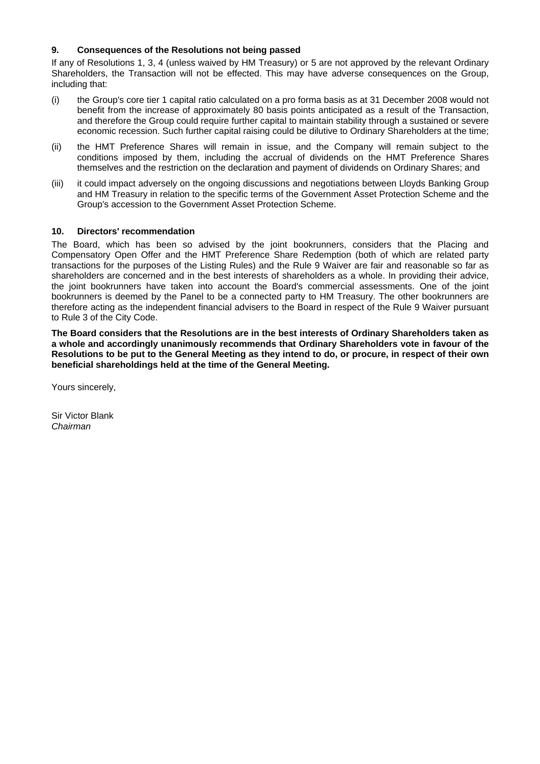# **9. Consequences of the Resolutions not being passed**

If any of Resolutions 1, 3, 4 (unless waived by HM Treasury) or 5 are not approved by the relevant Ordinary Shareholders, the Transaction will not be effected. This may have adverse consequences on the Group, including that:

- (i) the Group's core tier 1 capital ratio calculated on a pro forma basis as at 31 December 2008 would not benefit from the increase of approximately 80 basis points anticipated as a result of the Transaction, and therefore the Group could require further capital to maintain stability through a sustained or severe economic recession. Such further capital raising could be dilutive to Ordinary Shareholders at the time;
- (ii) the HMT Preference Shares will remain in issue, and the Company will remain subject to the conditions imposed by them, including the accrual of dividends on the HMT Preference Shares themselves and the restriction on the declaration and payment of dividends on Ordinary Shares; and
- (iii) it could impact adversely on the ongoing discussions and negotiations between Lloyds Banking Group and HM Treasury in relation to the specific terms of the Government Asset Protection Scheme and the Group's accession to the Government Asset Protection Scheme.

# **10. Directors' recommendation**

The Board, which has been so advised by the joint bookrunners, considers that the Placing and Compensatory Open Offer and the HMT Preference Share Redemption (both of which are related party transactions for the purposes of the Listing Rules) and the Rule 9 Waiver are fair and reasonable so far as shareholders are concerned and in the best interests of shareholders as a whole. In providing their advice, the joint bookrunners have taken into account the Board's commercial assessments. One of the joint bookrunners is deemed by the Panel to be a connected party to HM Treasury. The other bookrunners are therefore acting as the independent financial advisers to the Board in respect of the Rule 9 Waiver pursuant to Rule 3 of the City Code.

**The Board considers that the Resolutions are in the best interests of Ordinary Shareholders taken as a whole and accordingly unanimously recommends that Ordinary Shareholders vote in favour of the Resolutions to be put to the General Meeting as they intend to do, or procure, in respect of their own beneficial shareholdings held at the time of the General Meeting.** 

Yours sincerely,

Sir Victor Blank *Chairman*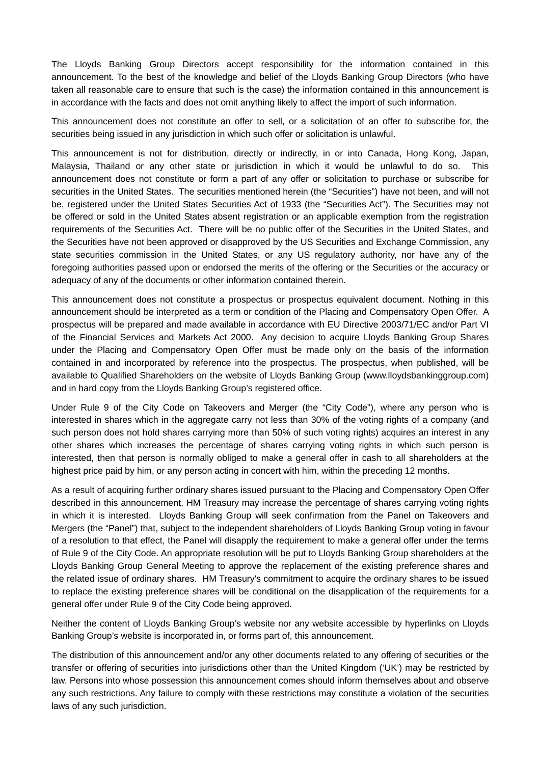The Lloyds Banking Group Directors accept responsibility for the information contained in this announcement. To the best of the knowledge and belief of the Lloyds Banking Group Directors (who have taken all reasonable care to ensure that such is the case) the information contained in this announcement is in accordance with the facts and does not omit anything likely to affect the import of such information.

This announcement does not constitute an offer to sell, or a solicitation of an offer to subscribe for, the securities being issued in any jurisdiction in which such offer or solicitation is unlawful.

This announcement is not for distribution, directly or indirectly, in or into Canada, Hong Kong, Japan, Malaysia, Thailand or any other state or jurisdiction in which it would be unlawful to do so. This announcement does not constitute or form a part of any offer or solicitation to purchase or subscribe for securities in the United States. The securities mentioned herein (the "Securities") have not been, and will not be, registered under the United States Securities Act of 1933 (the "Securities Act"). The Securities may not be offered or sold in the United States absent registration or an applicable exemption from the registration requirements of the Securities Act. There will be no public offer of the Securities in the United States, and the Securities have not been approved or disapproved by the US Securities and Exchange Commission, any state securities commission in the United States, or any US regulatory authority, nor have any of the foregoing authorities passed upon or endorsed the merits of the offering or the Securities or the accuracy or adequacy of any of the documents or other information contained therein.

This announcement does not constitute a prospectus or prospectus equivalent document. Nothing in this announcement should be interpreted as a term or condition of the Placing and Compensatory Open Offer. A prospectus will be prepared and made available in accordance with EU Directive 2003/71/EC and/or Part VI of the Financial Services and Markets Act 2000. Any decision to acquire Lloyds Banking Group Shares under the Placing and Compensatory Open Offer must be made only on the basis of the information contained in and incorporated by reference into the prospectus. The prospectus, when published, will be available to Qualified Shareholders on the website of Lloyds Banking Group (www.lloydsbankinggroup.com) and in hard copy from the Lloyds Banking Group's registered office.

Under Rule 9 of the City Code on Takeovers and Merger (the "City Code"), where any person who is interested in shares which in the aggregate carry not less than 30% of the voting rights of a company (and such person does not hold shares carrying more than 50% of such voting rights) acquires an interest in any other shares which increases the percentage of shares carrying voting rights in which such person is interested, then that person is normally obliged to make a general offer in cash to all shareholders at the highest price paid by him, or any person acting in concert with him, within the preceding 12 months.

As a result of acquiring further ordinary shares issued pursuant to the Placing and Compensatory Open Offer described in this announcement, HM Treasury may increase the percentage of shares carrying voting rights in which it is interested. Lloyds Banking Group will seek confirmation from the Panel on Takeovers and Mergers (the "Panel") that, subject to the independent shareholders of Lloyds Banking Group voting in favour of a resolution to that effect, the Panel will disapply the requirement to make a general offer under the terms of Rule 9 of the City Code. An appropriate resolution will be put to Lloyds Banking Group shareholders at the Lloyds Banking Group General Meeting to approve the replacement of the existing preference shares and the related issue of ordinary shares. HM Treasury's commitment to acquire the ordinary shares to be issued to replace the existing preference shares will be conditional on the disapplication of the requirements for a general offer under Rule 9 of the City Code being approved.

Neither the content of Lloyds Banking Group's website nor any website accessible by hyperlinks on Lloyds Banking Group's website is incorporated in, or forms part of, this announcement.

The distribution of this announcement and/or any other documents related to any offering of securities or the transfer or offering of securities into jurisdictions other than the United Kingdom ('UK') may be restricted by law. Persons into whose possession this announcement comes should inform themselves about and observe any such restrictions. Any failure to comply with these restrictions may constitute a violation of the securities laws of any such jurisdiction.